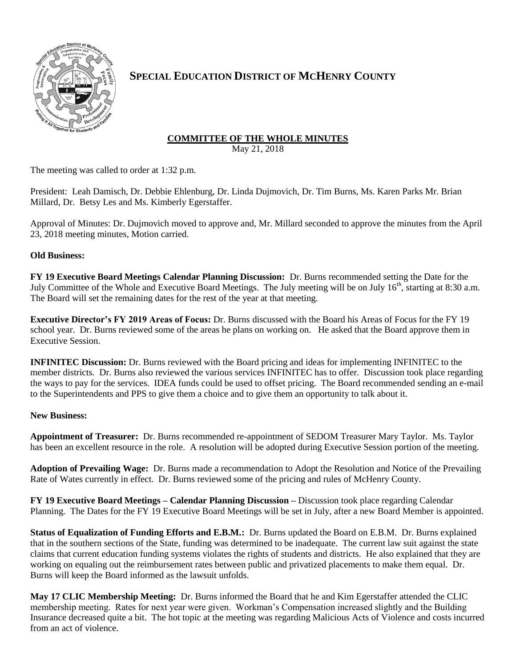

## **SPECIAL EDUCATION DISTRICT OF MCHENRY COUNTY**

## **COMMITTEE OF THE WHOLE MINUTES**

May 21, 2018

The meeting was called to order at 1:32 p.m.

President: Leah Damisch, Dr. Debbie Ehlenburg, Dr. Linda Dujmovich, Dr. Tim Burns, Ms. Karen Parks Mr. Brian Millard, Dr. Betsy Les and Ms. Kimberly Egerstaffer.

Approval of Minutes: Dr. Dujmovich moved to approve and, Mr. Millard seconded to approve the minutes from the April 23, 2018 meeting minutes, Motion carried.

## **Old Business:**

**FY 19 Executive Board Meetings Calendar Planning Discussion:** Dr. Burns recommended setting the Date for the July Committee of the Whole and Executive Board Meetings. The July meeting will be on July 16<sup>th</sup>, starting at 8:30 a.m. The Board will set the remaining dates for the rest of the year at that meeting.

**Executive Director's FY 2019 Areas of Focus:** Dr. Burns discussed with the Board his Areas of Focus for the FY 19 school year. Dr. Burns reviewed some of the areas he plans on working on. He asked that the Board approve them in Executive Session.

**INFINITEC Discussion:** Dr. Burns reviewed with the Board pricing and ideas for implementing INFINITEC to the member districts. Dr. Burns also reviewed the various services INFINITEC has to offer. Discussion took place regarding the ways to pay for the services. IDEA funds could be used to offset pricing. The Board recommended sending an e-mail to the Superintendents and PPS to give them a choice and to give them an opportunity to talk about it.

## **New Business:**

**Appointment of Treasurer:** Dr. Burns recommended re-appointment of SEDOM Treasurer Mary Taylor. Ms. Taylor has been an excellent resource in the role. A resolution will be adopted during Executive Session portion of the meeting.

**Adoption of Prevailing Wage:** Dr. Burns made a recommendation to Adopt the Resolution and Notice of the Prevailing Rate of Wates currently in effect. Dr. Burns reviewed some of the pricing and rules of McHenry County.

**FY 19 Executive Board Meetings – Calendar Planning Discussion –** Discussion took place regarding Calendar Planning. The Dates for the FY 19 Executive Board Meetings will be set in July, after a new Board Member is appointed.

**Status of Equalization of Funding Efforts and E.B.M.:** Dr. Burns updated the Board on E.B.M. Dr. Burns explained that in the southern sections of the State, funding was determined to be inadequate. The current law suit against the state claims that current education funding systems violates the rights of students and districts. He also explained that they are working on equaling out the reimbursement rates between public and privatized placements to make them equal. Dr. Burns will keep the Board informed as the lawsuit unfolds.

**May 17 CLIC Membership Meeting:** Dr. Burns informed the Board that he and Kim Egerstaffer attended the CLIC membership meeting. Rates for next year were given. Workman's Compensation increased slightly and the Building Insurance decreased quite a bit. The hot topic at the meeting was regarding Malicious Acts of Violence and costs incurred from an act of violence.